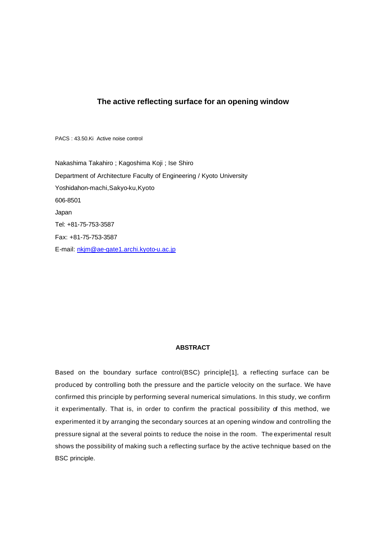# **The active reflecting surface for an opening window**

PACS : 43.50.Ki Active noise control

Nakashima Takahiro ; Kagoshima Koji ; Ise Shiro Department of Architecture Faculty of Engineering / Kyoto University Yoshidahon-machi,Sakyo-ku,Kyoto 606-8501 Japan Tel: +81-75-753-3587 Fax: +81-75-753-3587 E-mail: nkjm@ae-gate1.archi.kyoto-u.ac.jp

# **ABSTRACT**

Based on the boundary surface control(BSC) principle[1], a reflecting surface can be produced by controlling both the pressure and the particle velocity on the surface. We have confirmed this principle by performing several numerical simulations. In this study, we confirm it experimentally. That is, in order to confirm the practical possibility of this method, we experimented it by arranging the secondary sources at an opening window and controlling the pressure signal at the several points to reduce the noise in the room. The experimental result shows the possibility of making such a reflecting surface by the active technique based on the BSC principle.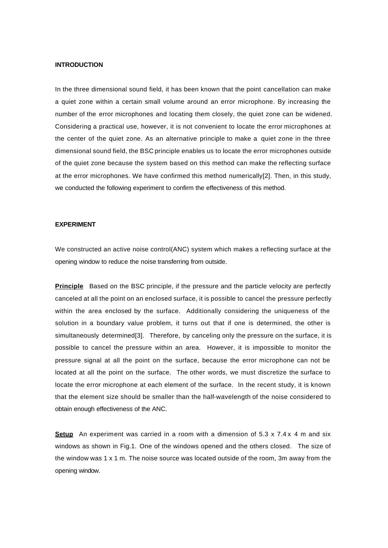### **INTRODUCTION**

In the three dimensional sound field, it has been known that the point cancellation can make a quiet zone within a certain small volume around an error microphone. By increasing the number of the error microphones and locating them closely, the quiet zone can be widened. Considering a practical use, however, it is not convenient to locate the error microphones at the center of the quiet zone. As an alternative principle to make a quiet zone in the three dimensional sound field, the BSC principle enables us to locate the error microphones outside of the quiet zone because the system based on this method can make the reflecting surface at the error microphones. We have confirmed this method numerically[2]. Then, in this study, we conducted the following experiment to confirm the effectiveness of this method.

#### **EXPERIMENT**

We constructed an active noise control(ANC) system which makes a reflecting surface at the opening window to reduce the noise transferring from outside.

**Principle** Based on the BSC principle, if the pressure and the particle velocity are perfectly canceled at all the point on an enclosed surface, it is possible to cancel the pressure perfectly within the area enclosed by the surface. Additionally considering the uniqueness of the solution in a boundary value problem, it turns out that if one is determined, the other is simultaneously determined[3]. Therefore, by canceling only the pressure on the surface, it is possible to cancel the pressure within an area. However, it is impossible to monitor the pressure signal at all the point on the surface, because the error microphone can not be located at all the point on the surface. The other words, we must discretize the surface to locate the error microphone at each element of the surface. In the recent study, it is known that the element size should be smaller than the half-wavelength of the noise considered to obtain enough effectiveness of the ANC.

**Setup** An experiment was carried in a room with a dimension of 5.3 x 7.4 x 4 m and six windows as shown in Fig.1. One of the windows opened and the others closed. The size of the window was  $1 \times 1$  m. The noise source was located outside of the room, 3m away from the opening window.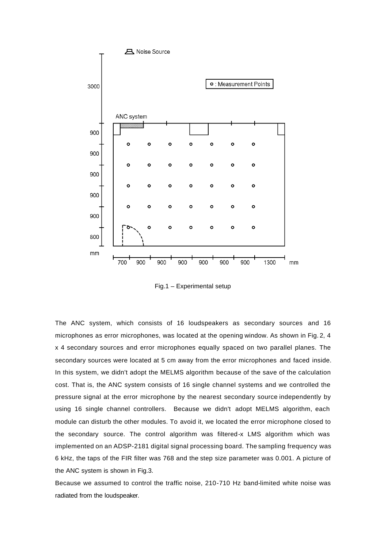

Fig.1 – Experimental setup

The ANC system, which consists of 16 loudspeakers as secondary sources and 16 microphones as error microphones, was located at the opening window. As shown in Fig. 2, 4 x 4 secondary sources and error microphones equally spaced on two parallel planes. The secondary sources were located at 5 cm away from the error microphones and faced inside. In this system, we didn't adopt the MELMS algorithm because of the save of the calculation cost. That is, the ANC system consists of 16 single channel systems and we controlled the pressure signal at the error microphone by the nearest secondary source independently by using 16 single channel controllers. Because we didn't adopt MELMS algorithm, each module can disturb the other modules. To avoid it, we located the error microphone closed to the secondary source. The control algorithm was filtered-x LMS algorithm which was implemented on an ADSP-2181 digital signal processing board. The sampling frequency was 6 kHz, the taps of the FIR filter was 768 and the step size parameter was 0.001. A picture of the ANC system is shown in Fig.3.

Because we assumed to control the traffic noise, 210-710 Hz band-limited white noise was radiated from the loudspeaker.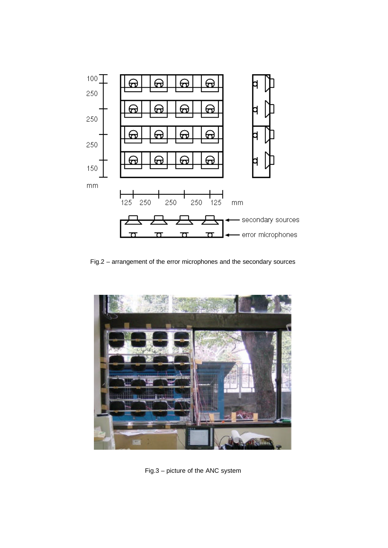

Fig.2 – arrangement of the error microphones and the secondary sources



Fig.3 – picture of the ANC system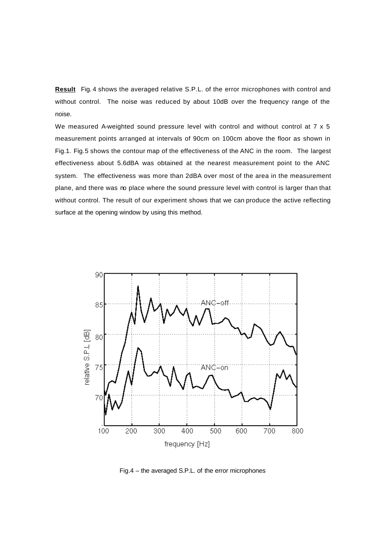**Result** Fig. 4 shows the averaged relative S.P.L. of the error microphones with control and without control. The noise was reduced by about 10dB over the frequency range of the noise.

We measured A-weighted sound pressure level with control and without control at 7 x 5 measurement points arranged at intervals of 90cm on 100cm above the floor as shown in Fig.1. Fig.5 shows the contour map of the effectiveness of the ANC in the room. The largest effectiveness about 5.6dBA was obtained at the nearest measurement point to the ANC system. The effectiveness was more than 2dBA over most of the area in the measurement plane, and there was no place where the sound pressure level with control is larger than that without control. The result of our experiment shows that we can produce the active reflecting surface at the opening window by using this method.



Fig.4 – the averaged S.P.L. of the error microphones